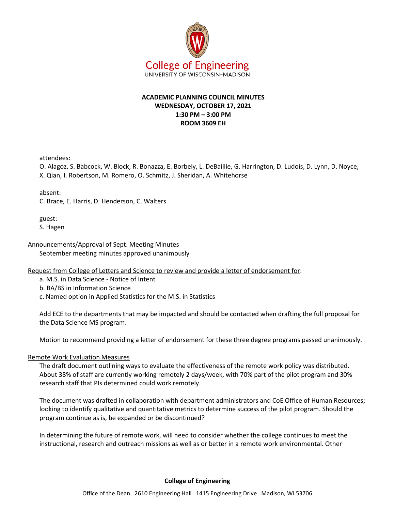

# **ACADEMIC PLANNING COUNCIL MINUTES WEDNESDAY, OCTOBER 17, 2021 1:30 PM – 3:00 PM ROOM 3609 EH**

attendees:

O. Alagoz, S. Babcock, W. Block, R. Bonazza, E. Borbely, L. DeBaillie, G. Harrington, D. Ludois, D. Lynn, D. Noyce, X. Qian, I. Robertson, M. Romero, O. Schmitz, J. Sheridan, A. Whitehorse

absent:

C. Brace, E. Harris, D. Henderson, C. Walters

guest: S. Hagen

## Announcements/Approval of Sept. Meeting Minutes

September meeting minutes approved unanimously

Request from College of Letters and Science to review and provide a letter of endorsement for:

a. M.S. in Data Science - Notice of Intent

- b. BA/BS in Information Science
- c. Named option in Applied Statistics for the M.S. in Statistics

Add ECE to the departments that may be impacted and should be contacted when drafting the full proposal for the Data Science MS program.

Motion to recommend providing a letter of endorsement for these three degree programs passed unanimously.

## Remote Work Evaluation Measures

The draft document outlining ways to evaluate the effectiveness of the remote work policy was distributed. About 38% of staff are currently working remotely 2 days/week, with 70% part of the pilot program and 30% research staff that PIs determined could work remotely.

The document was drafted in collaboration with department administrators and CoE Office of Human Resources; looking to identify qualitative and quantitative metrics to determine success of the pilot program. Should the program continue as is, be expanded or be discontinued?

In determining the future of remote work, will need to consider whether the college continues to meet the instructional, research and outreach missions as well as or better in a remote work environmental. Other

## **College of Engineering**